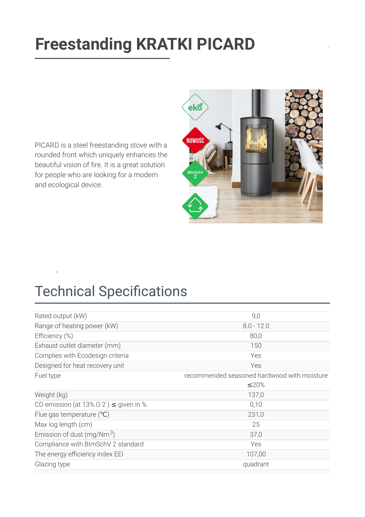# **[Freestanding KRATKI PICARD](https://kratki.com/sklep/en/produkt/6299/freestanding-stove-picard)**

PICARD is a steel freestanding stove with a rounded front which uniquely enhances the beautiful vision of fire. It is a great solution for people who are looking for a modern and ecological device.



# **Technical Specifications**

 $\frac{1}{2}$ 

| Rated output (kW)                          | 9,0                                         |
|--------------------------------------------|---------------------------------------------|
| Range of heating power (kW)                | $8.0 - 12.0$                                |
| Efficiency (%)                             | 80,0                                        |
| Exhaust outlet diameter (mm)               | 150                                         |
| Complies with Ecodesign criteria           | Yes                                         |
| Designed for heat recovery unit            | Yes                                         |
| Fuel type                                  | recommended seasoned hardwood with moisture |
|                                            | $\leq$ 20%                                  |
| Weight (kg)                                | 137,0                                       |
| CO emission (at 13% O 2) $\leq$ given in % | 0,10                                        |
| Flue gas temperature $(°C)$                | 231,0                                       |
| Max log length (cm)                        | 25                                          |
| Emission of dust (mg/Nm $3$ )              | 37,0                                        |
| Compliance with BImSchV 2 standard         | Yes                                         |
| The energy efficiency index EEI            | 107,00                                      |
| Glazing type                               | quadrant                                    |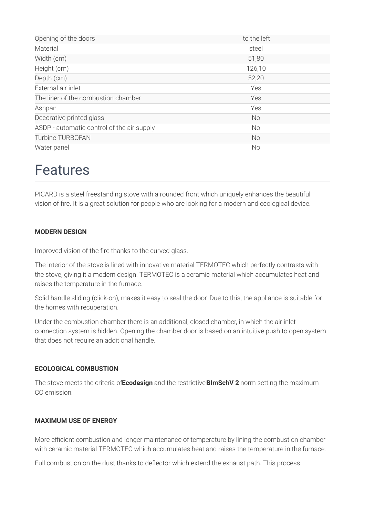| Opening of the doors                       | to the left |
|--------------------------------------------|-------------|
| Material                                   | steel       |
| Width (cm)                                 | 51,80       |
| Height (cm)                                | 126,10      |
| Depth (cm)                                 | 52,20       |
| External air inlet                         | Yes         |
| The liner of the combustion chamber        | Yes         |
| Ashpan                                     | Yes         |
| Decorative printed glass                   | <b>No</b>   |
| ASDP - automatic control of the air supply | <b>No</b>   |
| Turbine TURBOFAN                           | <b>No</b>   |
| Water panel                                | No          |

### Features

PICARD is a steel freestanding stove with a rounded front which uniquely enhances the beautiful vision of fire. It is a great solution for people who are looking for a modern and ecological device.

#### **MODERN DESIGN**

Improved vision of the fire thanks to the curved glass.

The interior of the stove is lined with innovative material TERMOTEC which perfectly contrasts with the stove, giving it a modern design. TERMOTEC is a ceramic material which accumulates heat and raises the temperature in the furnace.

Solid handle sliding (click-on), makes it easy to seal the door. Due to this, the appliance is suitable for the homes with recuperation.

Under the combustion chamber there is an additional, closed chamber, in which the air inlet connection system is hidden. Opening the chamber door is based on an intuitive push to open system that does not require an additional handle.

#### **ECOLOGICAL COMBUSTION**

The stove meets the criteria of**Ecodesign** and the restrictive**BImSchV 2** norm setting the maximum CO emission.

#### **MAXIMUM USE OF ENERGY**

More efficient combustion and longer maintenance of temperature by lining the combustion chamber with ceramic material TERMOTEC which accumulates heat and raises the temperature in the furnace.

Full combustion on the dust thanks to deflector which extend the exhaust path. This process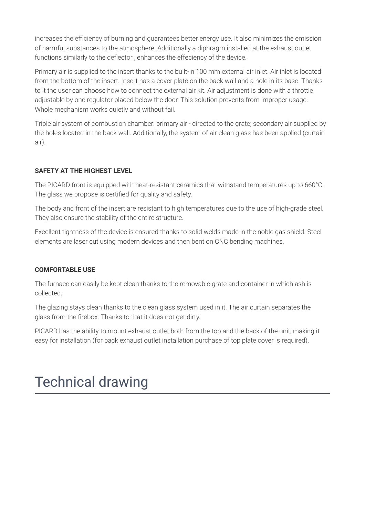increases the efficiency of burning and guarantees better energy use. It also minimizes the emission of harmful substances to the atmosphere. Additionally a diphragm installed at the exhaust outlet functions similarly to the deflector, enhances the effeciency of the device.

Primary air is supplied to the insert thanks to the built-in 100 mm external air inlet. Air inlet is located from the bottom of the insert. Insert has a cover plate on the back wall and a hole in its base. Thanks to it the user can choose how to connect the external air kit. Air adjustment is done with a throttle adjustable by one regulator placed below the door. This solution prevents from improper usage. Whole mechanism works quietly and without fail.

Triple air system of combustion chamber: primary air - directed to the grate; secondary air supplied by the holes located in the back wall. Additionally, the system of air clean glass has been applied (curtain air).

#### **SAFETY AT THE HIGHEST LEVEL**

The PICARD front is equipped with heat-resistant ceramics that withstand temperatures up to 660°C. The glass we propose is certified for quality and safety.

The body and front of the insert are resistant to high temperatures due to the use of high-grade steel. They also ensure the stability of the entire structure.

Excellent tightness of the device is ensured thanks to solid welds made in the noble gas shield. Steel elements are laser cut using modern devices and then bent on CNC bending machines.

#### **COMFORTABLE USE**

The furnace can easily be kept clean thanks to the removable grate and container in which ash is collected.

The glazing stays clean thanks to the clean glass system used in it. The air curtain separates the glass from the firebox. Thanks to that it does not get dirty.

PICARD has the ability to mount exhaust outlet both from the top and the back of the unit, making it easy for installation (for back exhaust outlet installation purchase of top plate cover is required).

# Technical drawing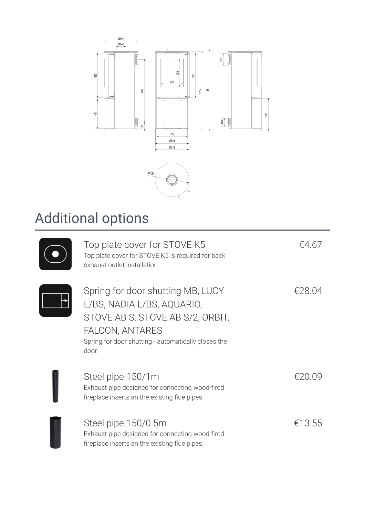

# Additional options

| Top plate cover for STOVE K5<br>Top plate cover for STOVE K5 is required for back<br>exhaust outlet installation.                                                                      | £467   |
|----------------------------------------------------------------------------------------------------------------------------------------------------------------------------------------|--------|
| Spring for door shutting MB, LUCY<br>L/BS, NADIA L/BS, AQUARIO,<br>STOVE AB S, STOVE AB S/2, ORBIT,<br>FALCON, ANTARES<br>Spring for door shutting - automatically closes the<br>door. | €28.04 |
| Steel pipe 150/1m<br>Exhaust pipe designed for connecting wood-fired<br>fireplace inserts an the existing flue pipes.                                                                  | £20.09 |
| Steel pipe 150/0.5m<br>Exhaust pipe designed for connecting wood-fired<br>fireplace inserts an the existing flue pipes.                                                                | €13.55 |